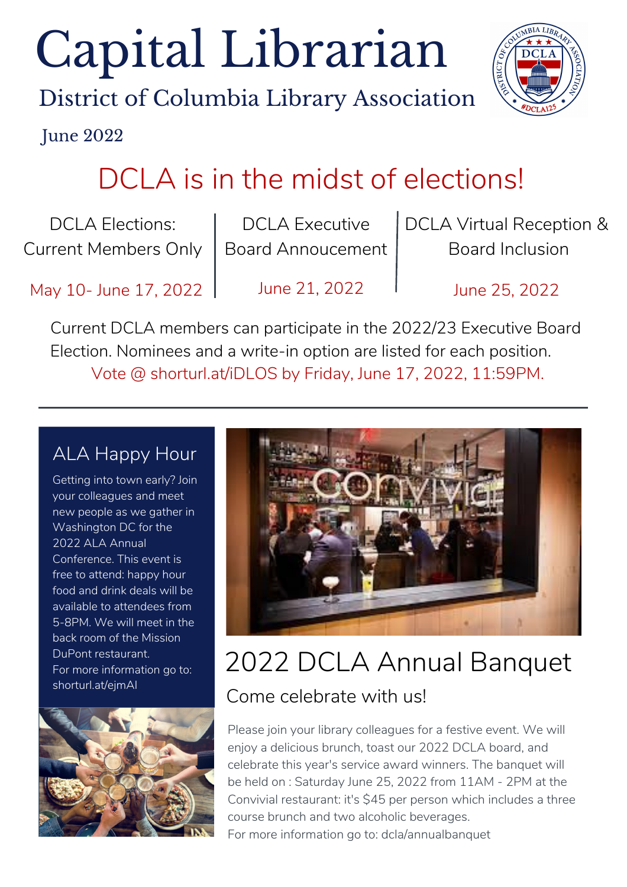# Capital Librarian

District of Columbia Library Association



June 2022

### DCLA is in the midst of elections!

DCLA Elections: Current Members Only

DCLA Executive Board Annoucement DCLA Virtual Reception & Board Inclusion

May 10- June 17, 2022 | June 21, 2022 | June 25, 2022

Current DCLA members can participate in the 2022/23 Executive Board Election. Nominees and a write-in option are listed for each position. Vote @ shorturl.at/iDLOS by Friday, June 17, 2022, 11:59PM.

#### ALA Happy Hour

Getting into town early? Join your colleagues and meet new people as we gather in Washington DC for the 2022 ALA Annual Conference. This event is free to attend: happy hour food and drink deals will be available to attendees from 5-8PM. We will meet in the back room of the Mission DuPont restaurant. For more information go to: shorturl.at/ejmAI





#### 2022 DCLA Annual Banquet Come celebrate with us!

Please join your library colleagues for a festive event. We will enjoy a delicious brunch, toast our 2022 DCLA board, and celebrate this year's service award winners. The banquet will be held on : Saturday June 25, 2022 from 11AM - 2PM at the Convivial restaurant: it's \$45 per person which includes a three course brunch and two alcoholic beverages. For more information go to: dcla/annualbanquet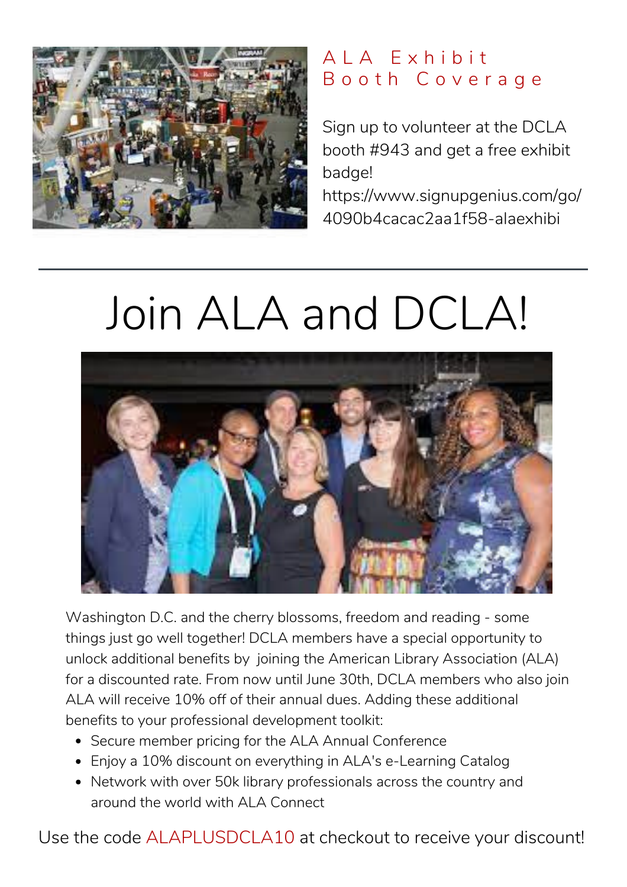

#### A L A E x h i b i t B o o t h C o v e r a g e

Sign up to volunteer at the DCLA booth #943 and get a free exhibit badge!

[https://www.signupgenius.com/go/](https://www.signupgenius.com/go/4090b4cacac2aa1f58-alaexhibit) 4090b4cacac2aa1f58-alaexhibi

## Join ALA and DCLA!



Washington D.C. and the cherry blossoms, freedom and reading - some things just go well together! DCLA members have a special opportunity to unlock additional benefits by joining the American Library Association (ALA) for a discounted rate. From now until June 30th, DCLA members who also join ALA will receive 10% off of their annual dues. Adding these additional benefits to your professional development toolkit:

- Secure member pricing for the ALA Annual Conference
- Enjoy a 10% discount on everything in ALA's e-Learning Catalog
- Network with over 50k library professionals across the country and around the world with ALA Connect

Use the code ALAPLUSDCLA10 at checkout to receive your discount!